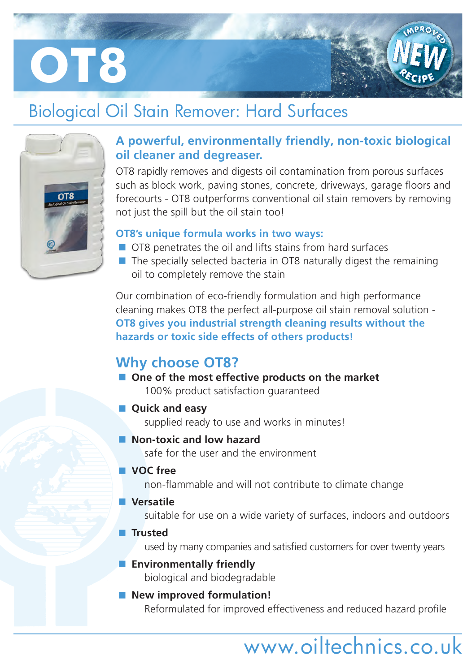# **OT8**

## Biological Oil Stain Remover: Hard Surfaces



## **A powerful, environmentally friendly, non-toxic biological oil cleaner and degreaser.**

OT8 rapidly removes and digests oil contamination from porous surfaces such as block work, paving stones, concrete, driveways, garage floors and forecourts - OT8 outperforms conventional oil stain removers by removing not just the spill but the oil stain too!

## **OT8's unique formula works in two ways:**

- OT8 penetrates the oil and lifts stains from hard surfaces
- $\blacksquare$  The specially selected bacteria in OT8 naturally digest the remaining oil to completely remove the stain

Our combination of eco-friendly formulation and high performance cleaning makes OT8 the perfect all-purpose oil stain removal solution - **OT8 gives you industrial strength cleaning results without the hazards or toxic side effects of others products!**

## **Why choose OT8?**

■ One of the most effective products on the market 100% product satisfaction guaranteed

## **Quick and easy**

supplied ready to use and works in minutes!

## **Non-toxic and low hazard**

safe for the user and the environment

## **VOC free**

non-flammable and will not contribute to climate change

## **Versatile**

suitable for use on a wide variety of surfaces, indoors and outdoors

## **Trusted**

used by many companies and satisfied customers for over twenty years

## **Environmentally friendly**

biological and biodegradable

■ New improved formulation! Reformulated for improved effectiveness and reduced hazard profile

# www.oiltechnics.co.uk